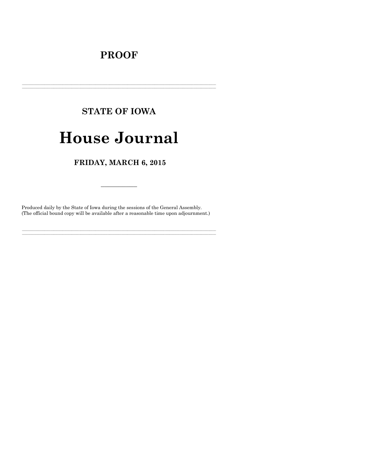# **PROOF**

# **STATE OF IOWA**

# **House Journal**

### FRIDAY, MARCH 6, 2015

Produced daily by the State of Iowa during the sessions of the General Assembly. (The official bound copy will be available after a reasonable time upon adjournment.)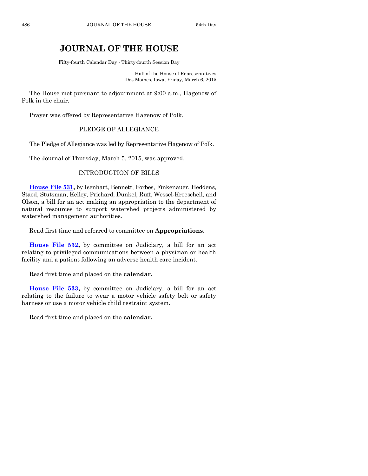## **JOURNAL OF THE HOUSE**

Fifty-fourth Calendar Day - Thirty-fourth Session Day

Hall of the House of Representatives Des Moines, Iowa, Friday, March 6, 2015

The House met pursuant to adjournment at 9:00 a.m., Hagenow of Polk in the chair.

Prayer was offered by Representative Hagenow of Polk.

#### PLEDGE OF ALLEGIANCE

The Pledge of Allegiance was led by Representative Hagenow of Polk.

The Journal of Thursday, March 5, 2015, was approved.

#### INTRODUCTION OF BILLS

**[House File 531,](http://coolice.legis.iowa.gov/Cool-ICE/default.asp?Category=billinfo&Service=Billbook&frame=1&GA=86&hbill=HF531)** by Isenhart, Bennett, Forbes, Finkenauer, Heddens, Staed, Stutsman, Kelley, Prichard, Dunkel, Ruff, Wessel-Kroeschell, and Olson, a bill for an act making an appropriation to the department of natural resources to support watershed projects administered by watershed management authorities.

Read first time and referred to committee on **Appropriations.**

**[House File 532,](http://coolice.legis.iowa.gov/Cool-ICE/default.asp?Category=billinfo&Service=Billbook&frame=1&GA=86&hbill=HF532)** by committee on Judiciary, a bill for an act relating to privileged communications between a physician or health facility and a patient following an adverse health care incident.

Read first time and placed on the **calendar.**

**[House File 533,](http://coolice.legis.iowa.gov/Cool-ICE/default.asp?Category=billinfo&Service=Billbook&frame=1&GA=86&hbill=HF533)** by committee on Judiciary, a bill for an act relating to the failure to wear a motor vehicle safety belt or safety harness or use a motor vehicle child restraint system.

Read first time and placed on the **calendar.**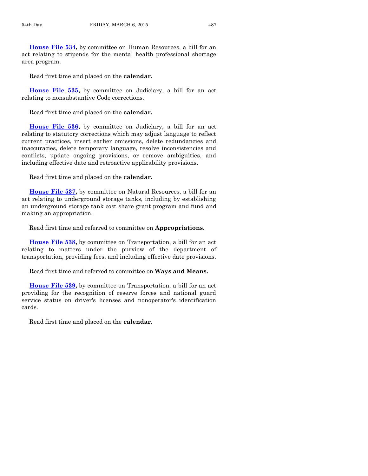**[House File](http://coolice.legis.iowa.gov/Cool-ICE/default.asp?Category=billinfo&Service=Billbook&frame=1&GA=86&hbill=HF534) 534,** by committee on Human Resources, a bill for an act relating to stipends for the mental health professional shortage area program.

Read first time and placed on the **calendar.**

**[House File 535,](http://coolice.legis.iowa.gov/Cool-ICE/default.asp?Category=billinfo&Service=Billbook&frame=1&GA=86&hbill=HF535)** by committee on Judiciary, a bill for an act relating to nonsubstantive Code corrections.

Read first time and placed on the **calendar.**

**[House File 536,](http://coolice.legis.iowa.gov/Cool-ICE/default.asp?Category=billinfo&Service=Billbook&frame=1&GA=86&hbill=HF536)** by committee on Judiciary, a bill for an act relating to statutory corrections which may adjust language to reflect current practices, insert earlier omissions, delete redundancies and inaccuracies, delete temporary language, resolve inconsistencies and conflicts, update ongoing provisions, or remove ambiguities, and including effective date and retroactive applicability provisions.

Read first time and placed on the **calendar.**

**[House File 537,](http://coolice.legis.iowa.gov/Cool-ICE/default.asp?Category=billinfo&Service=Billbook&frame=1&GA=86&hbill=HF537)** by committee on Natural Resources, a bill for an act relating to underground storage tanks, including by establishing an underground storage tank cost share grant program and fund and making an appropriation.

Read first time and referred to committee on **Appropriations.**

**[House File 538,](http://coolice.legis.iowa.gov/Cool-ICE/default.asp?Category=billinfo&Service=Billbook&frame=1&GA=86&hbill=HF538)** by committee on Transportation, a bill for an act relating to matters under the purview of the department of transportation, providing fees, and including effective date provisions.

Read first time and referred to committee on **Ways and Means.**

**[House File 539,](http://coolice.legis.iowa.gov/Cool-ICE/default.asp?Category=billinfo&Service=Billbook&frame=1&GA=86&hbill=HF539)** by committee on Transportation, a bill for an act providing for the recognition of reserve forces and national guard service status on driver's licenses and nonoperator's identification cards.

Read first time and placed on the **calendar.**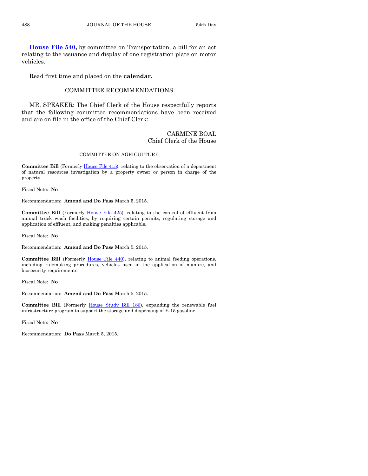**[House File 540,](http://coolice.legis.iowa.gov/Cool-ICE/default.asp?Category=billinfo&Service=Billbook&frame=1&GA=86&hbill=HF540)** by committee on Transportation, a bill for an act relating to the issuance and display of one registration plate on motor vehicles.

Read first time and placed on the **calendar.**

#### COMMITTEE RECOMMENDATIONS

MR. SPEAKER: The Chief Clerk of the House respectfully reports that the following committee recommendations have been received and are on file in the office of the Chief Clerk:

#### CARMINE BOAL Chief Clerk of the House

#### COMMITTEE ON AGRICULTURE

**Committee Bill** (Formerly [House File 415\),](http://coolice.legis.iowa.gov/Cool-ICE/default.asp?Category=billinfo&Service=Billbook&frame=1&GA=86&hbill=HF415) relating to the observation of a department of natural resources investigation by a property owner or person in charge of the property.

Fiscal Note: **No**

Recommendation: **Amend and Do Pass** March 5, 2015.

**Committee Bill** (Formerly [House File 425\)](http://coolice.legis.iowa.gov/Cool-ICE/default.asp?Category=billinfo&Service=Billbook&frame=1&GA=86&hbill=HF425), relating to the control of effluent from animal truck wash facilities, by requiring certain permits, regulating storage and application of effluent, and making penalties applicable.

Fiscal Note: **No**

Recommendation: **Amend and Do Pass** March 5, 2015.

**Committee Bill** (Formerly [House File 440\)](http://coolice.legis.iowa.gov/Cool-ICE/default.asp?Category=billinfo&Service=Billbook&frame=1&GA=86&hbill=HF440), relating to animal feeding operations, including rulemaking procedures, vehicles used in the application of manure, and biosecurity requirements.

Fiscal Note: **No**

Recommendation: **Amend and Do Pass** March 5, 2015.

**Committee Bill** (Formerly [House Study Bill 186\)](http://coolice.legis.iowa.gov/Cool-ICE/default.asp?Category=billinfo&Service=Billbook&frame=1&GA=86&hbill=HSB186), expanding the renewable fuel infrastructure program to support the storage and dispensing of E-15 gasoline.

Fiscal Note: **No**

Recommendation: **Do Pass** March 5, 2015.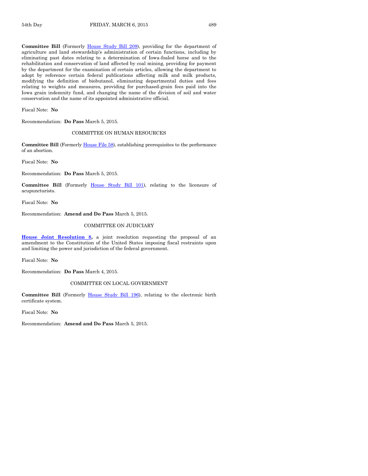**Committee Bill** (Formerly [House Study Bill 209\)](http://coolice.legis.iowa.gov/Cool-ICE/default.asp?Category=billinfo&Service=Billbook&frame=1&GA=86&hbill=HSB209), providing for the department of agriculture and land stewardship's administration of certain functions, including by eliminating past dates relating to a determination of Iowa-foaled horse and to the rehabilitation and conservation of land affected by coal mining, providing for payment by the department for the examination of certain articles, allowing the department to adopt by reference certain federal publications affecting milk and milk products, modifying the definition of biobutanol, eliminating departmental duties and fees relating to weights and measures, providing for purchased-grain fees paid into the Iowa grain indemnity fund, and changing the name of the division of soil and water conservation and the name of its appointed administrative official.

Fiscal Note: **No**

Recommendation: **Do Pass** March 5, 2015.

#### COMMITTEE ON HUMAN RESOURCES

Committee Bill (Formerl[y House File 58\)](http://coolice.legis.iowa.gov/Cool-ICE/default.asp?Category=billinfo&Service=Billbook&frame=1&GA=86&hbill=HF58), establishing prerequisites to the performance of an abortion.

Fiscal Note: **No**

Recommendation: **Do Pass** March 5, 2015.

**Committee Bill** (Formerly [House Study Bill 101\)](http://coolice.legis.iowa.gov/Cool-ICE/default.asp?Category=billinfo&Service=Billbook&frame=1&GA=86&hbill=HSB101), relating to the licensure of acupuncturists.

Fiscal Note: **No**

Recommendation: **Amend and Do Pass** March 5, 2015.

#### COMMITTEE ON JUDICIARY

**[House Joint Resolution 8,](http://coolice.legis.iowa.gov/Cool-ICE/default.asp?Category=billinfo&Service=Billbook&frame=1&GA=86&hbill=HJR8)** a joint resolution requesting the proposal of an amendment to the Constitution of the United States imposing fiscal restraints upon and limiting the power and jurisdiction of the federal government.

Fiscal Note: **No**

Recommendation: **Do Pass** March 4, 2015.

#### COMMITTEE ON LOCAL GOVERNMENT

**Committee Bill** (Formerly [House Study Bill 196\)](http://coolice.legis.iowa.gov/Cool-ICE/default.asp?Category=billinfo&Service=Billbook&frame=1&GA=86&hbill=HSB196), relating to the electronic birth certificate system.

Fiscal Note: **No**

Recommendation: **Amend and Do Pass** March 5, 2015.